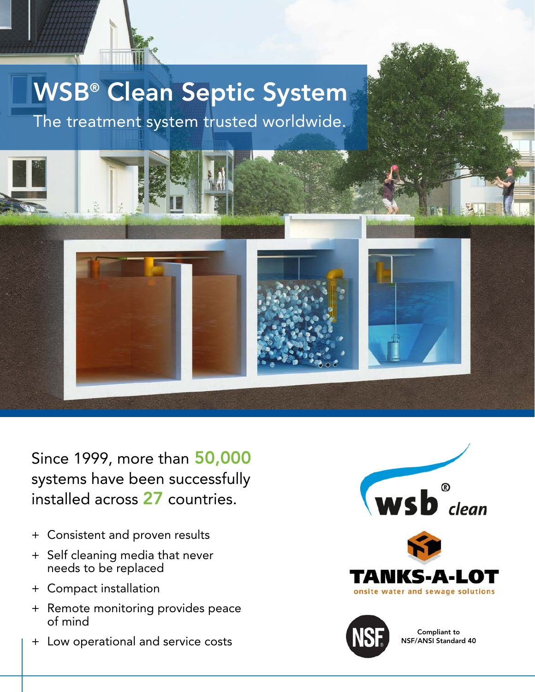

The treatment system trusted worldwide.



Since 1999, more than 50,000 systems have been successfully installed across 27 countries.

- + Consistent and proven results
- + Self cleaning media that never needs to be replaced
- + Compact installation
- + Remote monitoring provides peace of mind
- + Low operational and service costs





Compliant to NSF/ANSI Standard 40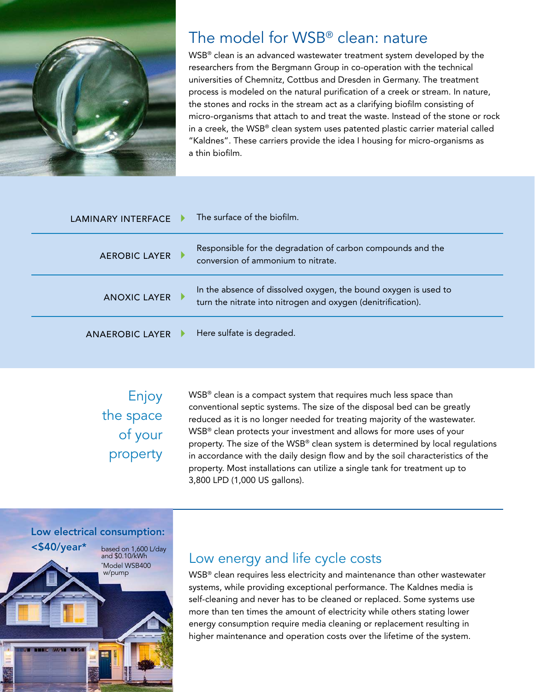

# The model for WSB® clean: nature

WSB® clean is an advanced wastewater treatment system developed by the researchers from the Bergmann Group in co-operation with the technical universities of Chemnitz, Cottbus and Dresden in Germany. The treatment process is modeled on the natural purification of a creek or stream. In nature, the stones and rocks in the stream act as a clarifying biofilm consisting of micro-organisms that attach to and treat the waste. Instead of the stone or rock in a creek, the WSB® clean system uses patented plastic carrier material called "Kaldnes". These carriers provide the idea I housing for micro-organisms as a thin biofilm.

| LAMINARY INTERFACE     | The surface of the biofilm.                                                                                                     |
|------------------------|---------------------------------------------------------------------------------------------------------------------------------|
| <b>AEROBIC LAYER</b>   | Responsible for the degradation of carbon compounds and the<br>conversion of ammonium to nitrate.                               |
| <b>ANOXIC LAYER</b>    | In the absence of dissolved oxygen, the bound oxygen is used to<br>turn the nitrate into nitrogen and oxygen (denitrification). |
| <b>ANAEROBIC LAYER</b> | Here sulfate is degraded.                                                                                                       |

Enjoy the space of your property WSB<sup>®</sup> clean is a compact system that requires much less space than conventional septic systems. The size of the disposal bed can be greatly reduced as it is no longer needed for treating majority of the wastewater. WSB® clean protects your investment and allows for more uses of your property. The size of the WSB® clean system is determined by local regulations in accordance with the daily design flow and by the soil characteristics of the property. Most installations can utilize a single tank for treatment up to 3,800 LPD (1,000 US gallons).



## Low energy and life cycle costs

WSB® clean requires less electricity and maintenance than other wastewater systems, while providing exceptional performance. The Kaldnes media is self-cleaning and never has to be cleaned or replaced. Some systems use more than ten times the amount of electricity while others stating lower energy consumption require media cleaning or replacement resulting in higher maintenance and operation costs over the lifetime of the system.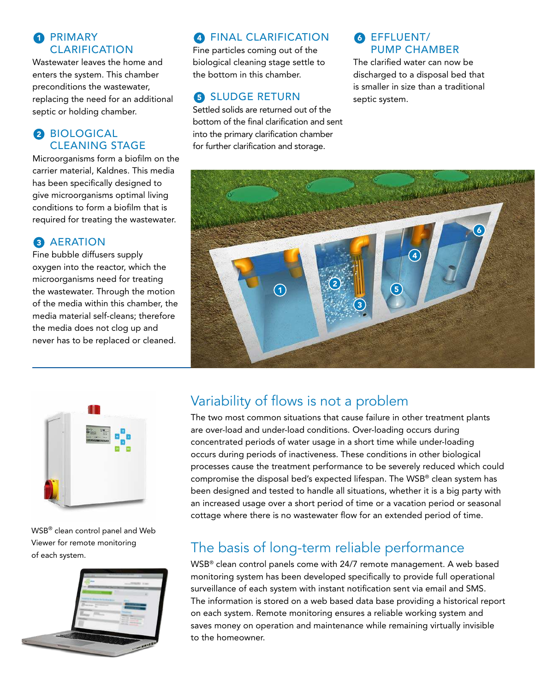#### **1** PRIMARY CLARIFICATION

Wastewater leaves the home and enters the system. This chamber preconditions the wastewater, replacing the need for an additional septic or holding chamber.

### 2 BIOLOGICAL CLEANING STAGE

Microorganisms form a biofilm on the carrier material, Kaldnes. This media has been specifically designed to give microorganisms optimal living conditions to form a biofilm that is required for treating the wastewater.

### **3** AERATION

Fine bubble diffusers supply oxygen into the reactor, which the microorganisms need for treating the wastewater. Through the motion of the media within this chamber, the media material self-cleans; therefore the media does not clog up and never has to be replaced or cleaned.

## **4** FINAL CLARIFICATION

Fine particles coming out of the biological cleaning stage settle to the bottom in this chamber.

## **6 SLUDGE RETURN**

Settled solids are returned out of the bottom of the final clarification and sent into the primary clarification chamber for further clarification and storage.

#### 6 EFFLUENT/ PUMP CHAMBER

The clarified water can now be discharged to a disposal bed that is smaller in size than a traditional septic system.





WSB® clean control panel and Web Viewer for remote monitoring of each system.



# Variability of flows is not a problem

The two most common situations that cause failure in other treatment plants are over-load and under-load conditions. Over-loading occurs during concentrated periods of water usage in a short time while under-loading occurs during periods of inactiveness. These conditions in other biological processes cause the treatment performance to be severely reduced which could compromise the disposal bed's expected lifespan. The WSB® clean system has been designed and tested to handle all situations, whether it is a big party with an increased usage over a short period of time or a vacation period or seasonal cottage where there is no wastewater flow for an extended period of time.

# The basis of long-term reliable performance

WSB® clean control panels come with 24/7 remote management. A web based monitoring system has been developed specifically to provide full operational surveillance of each system with instant notification sent via email and SMS. The information is stored on a web based data base providing a historical report on each system. Remote monitoring ensures a reliable working system and saves money on operation and maintenance while remaining virtually invisible to the homeowner.